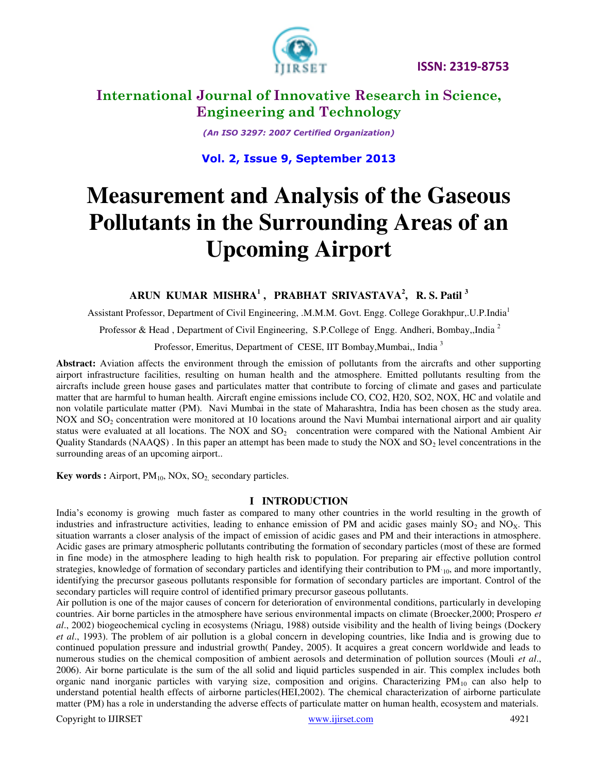



# **International Journal of Innovative Research in Science, Engineering and Technology**

*(An ISO 3297: 2007 Certified Organization)* 

# **Vol. 2, Issue 9, September 2013**

# **Measurement and Analysis of the Gaseous Pollutants in the Surrounding Areas of an Upcoming Airport**

### **ARUN KUMAR MISHRA<sup>1</sup> , PRABHAT SRIVASTAVA<sup>2</sup> , R. S. Patil <sup>3</sup>**

Assistant Professor, Department of Civil Engineering, .M.M.M. Govt. Engg. College Gorakhpur,.U.P.India<sup>1</sup>

Professor & Head, Department of Civil Engineering, S.P.College of Engg. Andheri, Bombay,,India<sup>2</sup>

Professor, Emeritus, Department of CESE, IIT Bombay, Mumbai,, India<sup>3</sup>

**Abstract:** Aviation affects the environment through the emission of pollutants from the aircrafts and other supporting airport infrastructure facilities, resulting on human health and the atmosphere. Emitted pollutants resulting from the aircrafts include green house gases and particulates matter that contribute to forcing of climate and gases and particulate matter that are harmful to human health. Aircraft engine emissions include CO, CO2, H20, SO2, NOX, HC and volatile and non volatile particulate matter (PM). Navi Mumbai in the state of Maharashtra, India has been chosen as the study area. NOX and  $SO<sub>2</sub>$  concentration were monitored at 10 locations around the Navi Mumbai international airport and air quality status were evaluated at all locations. The NOX and  $SO<sub>2</sub>$  concentration were compared with the National Ambient Air Quality Standards (NAAQS). In this paper an attempt has been made to study the NOX and  $SO<sub>2</sub>$  level concentrations in the surrounding areas of an upcoming airport..

**Key words :** Airport, PM<sub>10</sub>, NOx, SO<sub>2</sub>, secondary particles.

### **I INTRODUCTION**

India's economy is growing much faster as compared to many other countries in the world resulting in the growth of industries and infrastructure activities, leading to enhance emission of PM and acidic gases mainly  $SO_2$  and  $NO<sub>x</sub>$ . This situation warrants a closer analysis of the impact of emission of acidic gases and PM and their interactions in atmosphere. Acidic gases are primary atmospheric pollutants contributing the formation of secondary particles (most of these are formed in fine mode) in the atmosphere leading to high health risk to population. For preparing air effective pollution control strategies, knowledge of formation of secondary particles and identifying their contribution to  $PM_{10}$ , and more importantly, identifying the precursor gaseous pollutants responsible for formation of secondary particles are important. Control of the secondary particles will require control of identified primary precursor gaseous pollutants.

Air pollution is one of the major causes of concern for deterioration of environmental conditions, particularly in developing countries. Air borne particles in the atmosphere have serious environmental impacts on climate (Broecker,2000; Prospero *et al*., 2002) biogeochemical cycling in ecosystems (Nriagu, 1988) outside visibility and the health of living beings (Dockery *et al*., 1993). The problem of air pollution is a global concern in developing countries, like India and is growing due to continued population pressure and industrial growth( Pandey, 2005). It acquires a great concern worldwide and leads to numerous studies on the chemical composition of ambient aerosols and determination of pollution sources (Mouli *et al*., 2006). Air borne particulate is the sum of the all solid and liquid particles suspended in air. This complex includes both organic nand inorganic particles with varying size, composition and origins. Characterizing PM<sub>10</sub> can also help to understand potential health effects of airborne particles(HEI,2002). The chemical characterization of airborne particulate matter (PM) has a role in understanding the adverse effects of particulate matter on human health, ecosystem and materials.

Copyright to IJIRSET **www.ijirset.com** 4921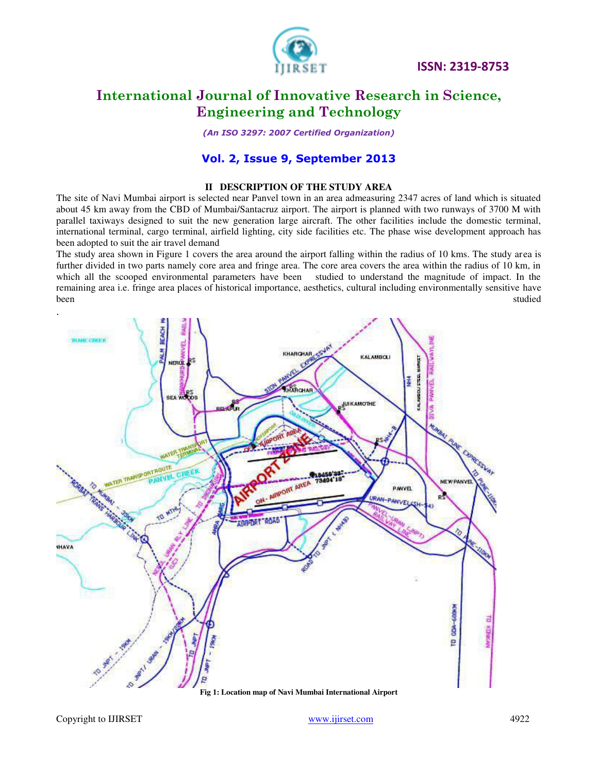

# **International Journal of Innovative Research in Science, Engineering and Technology**

*(An ISO 3297: 2007 Certified Organization)* 

### **Vol. 2, Issue 9, September 2013**

#### **II DESCRIPTION OF THE STUDY AREA**

The site of Navi Mumbai airport is selected near Panvel town in an area admeasuring 2347 acres of land which is situated about 45 km away from the CBD of Mumbai/Santacruz airport. The airport is planned with two runways of 3700 M with parallel taxiways designed to suit the new generation large aircraft. The other facilities include the domestic terminal, international terminal, cargo terminal, airfield lighting, city side facilities etc. The phase wise development approach has been adopted to suit the air travel demand

The study area shown in Figure 1 covers the area around the airport falling within the radius of 10 kms. The study area is further divided in two parts namely core area and fringe area. The core area covers the area within the radius of 10 km, in which all the scooped environmental parameters have been studied to understand the magnitude of impact. In the remaining area i.e. fringe area places of historical importance, aesthetics, cultural including environmentally sensitive have been studied been studied by the studied studied by the studied studied studied studied studied studied studied

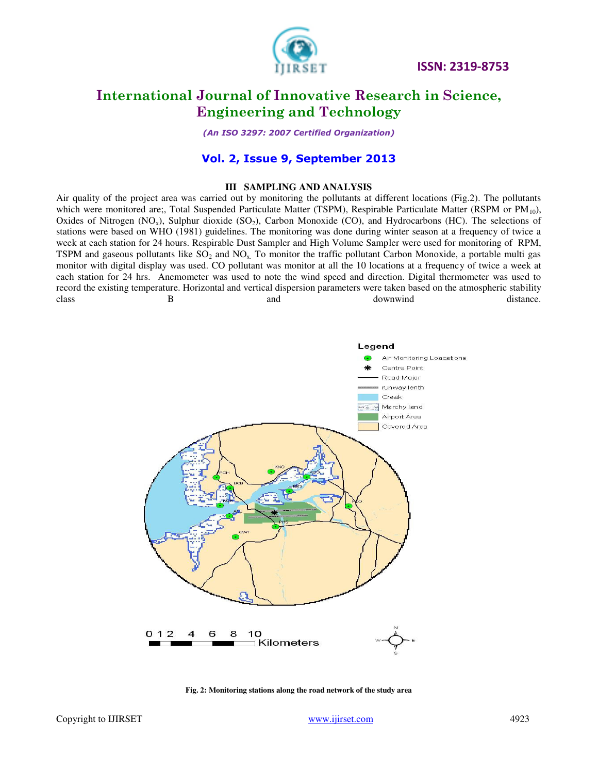

# **International Journal of Innovative Research in Science, Engineering and Technology**

*(An ISO 3297: 2007 Certified Organization)* 

### **Vol. 2, Issue 9, September 2013**

#### **III SAMPLING AND ANALYSIS**

Air quality of the project area was carried out by monitoring the pollutants at different locations (Fig.2). The pollutants which were monitored are;, Total Suspended Particulate Matter (TSPM), Respirable Particulate Matter (RSPM or PM<sub>10</sub>), Oxides of Nitrogen  $(NO_x)$ , Sulphur dioxide  $(SO_2)$ , Carbon Monoxide  $(CO)$ , and Hydrocarbons (HC). The selections of stations were based on WHO (1981) guidelines. The monitoring was done during winter season at a frequency of twice a week at each station for 24 hours. Respirable Dust Sampler and High Volume Sampler were used for monitoring of RPM, TSPM and gaseous pollutants like  $SO_2$  and  $NO_x$ . To monitor the traffic pollutant Carbon Monoxide, a portable multi gas monitor with digital display was used. CO pollutant was monitor at all the 10 locations at a frequency of twice a week at each station for 24 hrs. Anemometer was used to note the wind speed and direction. Digital thermometer was used to record the existing temperature. Horizontal and vertical dispersion parameters were taken based on the atmospheric stability class B and and downwind distance.



**Fig. 2: Monitoring stations along the road network of the study area**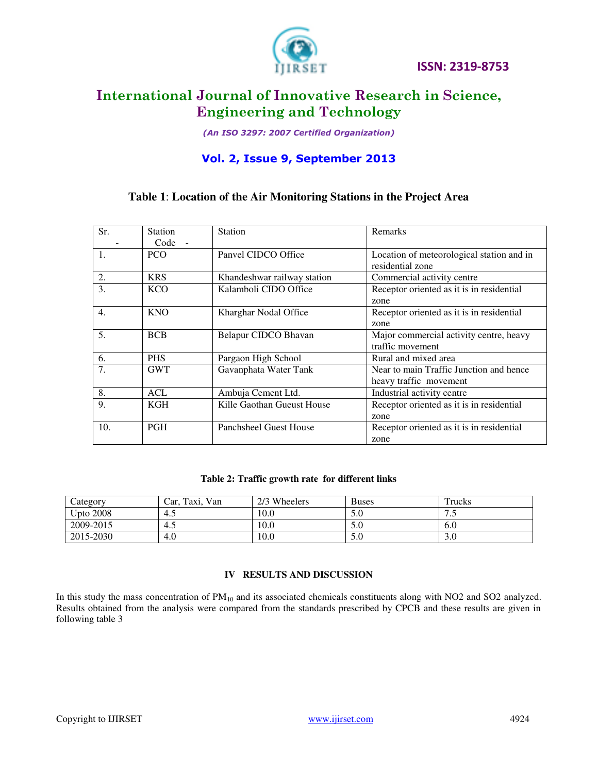

# **International Journal of Innovative Research in Science, Engineering and Technology**

*(An ISO 3297: 2007 Certified Organization)* 

# **Vol. 2, Issue 9, September 2013**

### **Table 1**: **Location of the Air Monitoring Stations in the Project Area**

| Sr.              | <b>Station</b> | Station                       | Remarks                                   |
|------------------|----------------|-------------------------------|-------------------------------------------|
|                  | Code<br>$\sim$ |                               |                                           |
| 1.               | <b>PCO</b>     | Panvel CIDCO Office           | Location of meteorological station and in |
|                  |                |                               | residential zone                          |
| 2.               | <b>KRS</b>     | Khandeshwar railway station   | Commercial activity centre                |
| 3.               | <b>KCO</b>     | Kalamboli CIDO Office         | Receptor oriented as it is in residential |
|                  |                |                               | zone                                      |
| $\overline{4}$ . | <b>KNO</b>     | Kharghar Nodal Office         | Receptor oriented as it is in residential |
|                  |                |                               | zone                                      |
| 5.               | <b>BCB</b>     | Belapur CIDCO Bhavan          | Major commercial activity centre, heavy   |
|                  |                |                               | traffic movement                          |
| 6.               | <b>PHS</b>     | Pargaon High School           | Rural and mixed area                      |
| 7.               | <b>GWT</b>     | Gavanphata Water Tank         | Near to main Traffic Junction and hence   |
|                  |                |                               | heavy traffic movement                    |
| 8.               | <b>ACL</b>     | Ambuja Cement Ltd.            | Industrial activity centre                |
| 9.               | <b>KGH</b>     | Kille Gaothan Gueust House    | Receptor oriented as it is in residential |
|                  |                |                               | zone                                      |
| 10.              | <b>PGH</b>     | <b>Panchsheel Guest House</b> | Receptor oriented as it is in residential |
|                  |                |                               | zone                                      |

### **Table 2: Traffic growth rate for different links**

| Category         | Van<br>Taxi.<br>Car. | 2/3 Wheelers | <b>Buses</b>         | Trucks |
|------------------|----------------------|--------------|----------------------|--------|
| <b>Upto 2008</b> | 4.5                  | 10.0         | 5.0                  | ر…     |
| 2009-2015        | -4.5                 | 10.0         | 5.0                  | 6.0    |
| 2015-2030        | 4.0                  | 10.0         | $\sim$ $\sim$<br>5.0 | 3.U    |

### **IV RESULTS AND DISCUSSION**

In this study the mass concentration of PM<sub>10</sub> and its associated chemicals constituents along with NO2 and SO2 analyzed. Results obtained from the analysis were compared from the standards prescribed by CPCB and these results are given in following table 3